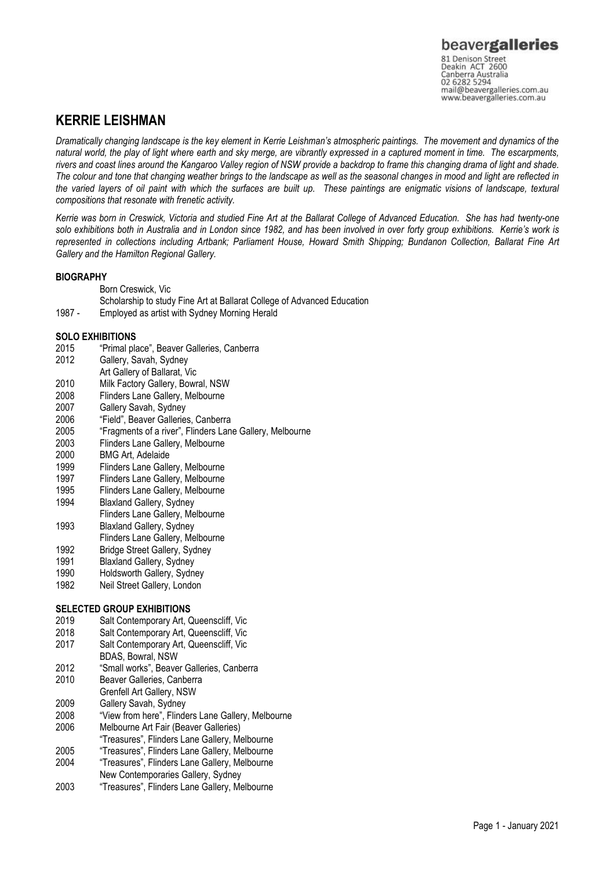### **KERRIE LEISHMAN**

*Dramatically changing landscape is the key element in Kerrie Leishman's atmospheric paintings. The movement and dynamics of the natural world, the play of light where earth and sky merge, are vibrantly expressed in a captured moment in time. The escarpments, rivers and coast lines around the Kangaroo Valley region of NSW provide a backdrop to frame this changing drama of light and shade. The colour and tone that changing weather brings to the landscape as well as the seasonal changes in mood and light are reflected in the varied layers of oil paint with which the surfaces are built up. These paintings are enigmatic visions of landscape, textural compositions that resonate with frenetic activity.*

*Kerrie was born in Creswick, Victoria and studied Fine Art at the Ballarat College of Advanced Education. She has had twenty-one solo exhibitions both in Australia and in London since 1982, and has been involved in over forty group exhibitions. Kerrie's work is represented in collections including Artbank; Parliament House, Howard Smith Shipping; Bundanon Collection, Ballarat Fine Art Gallery and the Hamilton Regional Gallery.*

### **BIOGRAPHY**

Born Creswick, Vic

Scholarship to study Fine Art at Ballarat College of Advanced Education

1987 - Employed as artist with Sydney Morning Herald

### **SOLO EXHIBITIONS**

- 2015 "Primal place", Beaver Galleries, Canberra
- Gallery, Savah, Sydney
- Art Gallery of Ballarat, Vic
- 2010 Milk Factory Gallery, Bowral, NSW
- 2008 Flinders Lane Gallery, Melbourne
- 2007 Gallery Savah, Sydney
- 2006 "Field", Beaver Galleries, Canberra
- 2005 "Fragments of a river", Flinders Lane Gallery, Melbourne
- 2003 Flinders Lane Gallery, Melbourne
- 2000 BMG Art, Adelaide
- 1999 Flinders Lane Gallery, Melbourne
- 1997 Flinders Lane Gallery, Melbourne<br>1995 Flinders Lane Gallery, Melbourne
- 1995 Flinders Lane Gallery, Melbourne<br>1994 Blaxland Gallery, Sydney
- Blaxland Gallery, Sydney
- Flinders Lane Gallery, Melbourne
- 1993 Blaxland Gallery, Sydney
- Flinders Lane Gallery, Melbourne 1992 Bridge Street Gallery, Sydney
- 1991 Blaxland Gallery, Sydney
- 1990 Holdsworth Gallery, Sydney
- 
- 1982 Neil Street Gallery, London

### **SELECTED GROUP EXHIBITIONS**

- 2019 Salt Contemporary Art, Queenscliff, Vic
- 2018 Salt Contemporary Art, Queenscliff, Vic
- 2017 Salt Contemporary Art, Queenscliff, Vic
- BDAS, Bowral, NSW
- 2012 "Small works", Beaver Galleries, Canberra
- 2010 Beaver Galleries, Canberra
- Grenfell Art Gallery, NSW
- 2009 Gallery Savah, Sydney
- 2008 "View from here", Flinders Lane Gallery, Melbourne
- 2006 Melbourne Art Fair (Beaver Galleries)
- "Treasures", Flinders Lane Gallery, Melbourne
- 2005 "Treasures", Flinders Lane Gallery, Melbourne
- 2004 "Treasures", Flinders Lane Gallery, Melbourne New Contemporaries Gallery, Sydney
- 2003 "Treasures", Flinders Lane Gallery, Melbourne